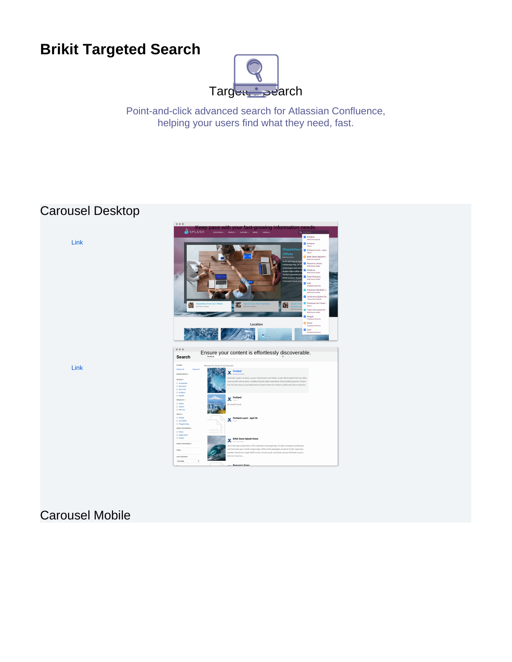# **Brikit Targeted Search**



Point-and-click advanced search for Atlassian Confluence, helping your users find what they need, fast.

## Carousel Desktop



## Carousel Mobile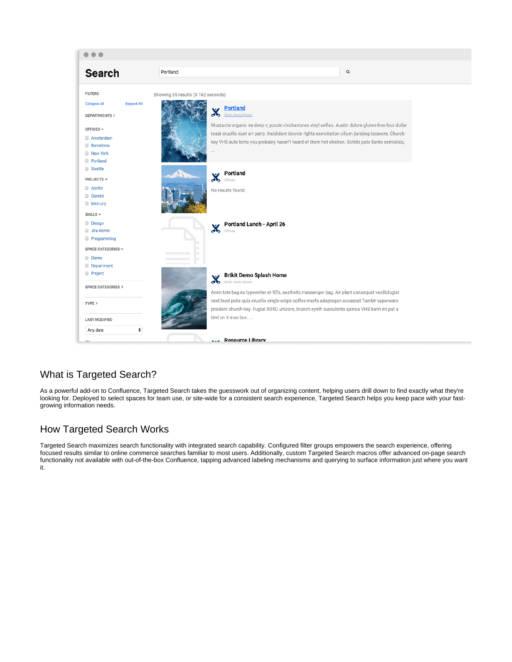

### What is Targeted Search?

As a powerful add-on to Confluence, Targeted Search takes the guesswork out of organizing content, helping users drill down to find exactly what they're looking for. Deployed to select spaces for team use, or site-wide for a consistent search experience, Targeted Search helps you keep pace with your fastgrowing information needs.

### How Targeted Search Works

Targeted Search maximizes search functionality with integrated search capability. Configured filter groups empowers the search experience, offering focused results similar to online commerce searches familiar to most users. Additionally, custom Targeted Search macros offer advanced on-page search functionality not available with out-of-the-box Confluence, tapping advanced labeling mechanisms and querying to surface information just where you want it.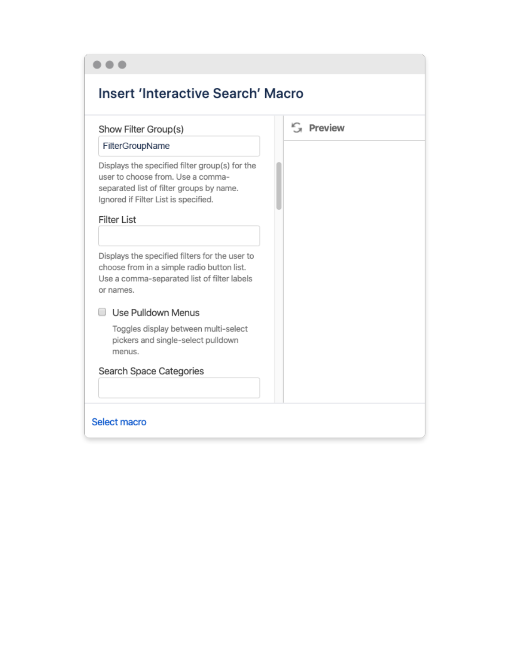| <b>Insert 'Interactive Search' Macro</b>                                                                                                                                                      |           |  |  |  |  |  |
|-----------------------------------------------------------------------------------------------------------------------------------------------------------------------------------------------|-----------|--|--|--|--|--|
| Show Filter Group(s)                                                                                                                                                                          | G Preview |  |  |  |  |  |
| FilterGroupName                                                                                                                                                                               |           |  |  |  |  |  |
| Displays the specified filter group(s) for the<br>user to choose from. Use a comma-<br>separated list of filter groups by name.<br>Ignored if Filter List is specified.<br><b>Filter List</b> |           |  |  |  |  |  |
|                                                                                                                                                                                               |           |  |  |  |  |  |
| Displays the specified filters for the user to<br>choose from in a simple radio button list.<br>Use a comma-separated list of filter labels<br>or names.                                      |           |  |  |  |  |  |
| Use Pulldown Menus                                                                                                                                                                            |           |  |  |  |  |  |
| Toggles display between multi-select<br>pickers and single-select pulldown<br>menus.                                                                                                          |           |  |  |  |  |  |
| Search Space Categories                                                                                                                                                                       |           |  |  |  |  |  |
| Select macro                                                                                                                                                                                  |           |  |  |  |  |  |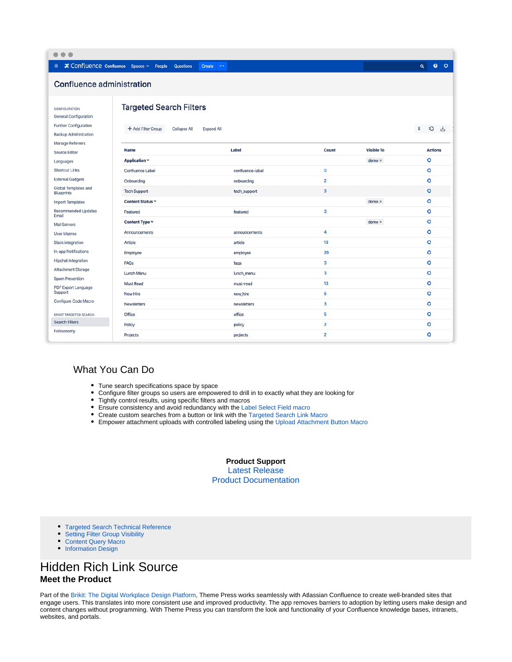| $\bullet$<br>٠                                                                                                             |                                                                                           |                  |                         |                   |                            |  |  |
|----------------------------------------------------------------------------------------------------------------------------|-------------------------------------------------------------------------------------------|------------------|-------------------------|-------------------|----------------------------|--|--|
| $\equiv$ $\approx$ Confluence confluence Spaces $\sim$ People                                                              | Questions<br><b>Create</b><br>$\cdots$                                                    |                  |                         |                   | $\bullet$<br>ಂ<br>$\alpha$ |  |  |
| <b>Confluence administration</b>                                                                                           |                                                                                           |                  |                         |                   |                            |  |  |
| CONFIGURATION<br><b>General Configuration</b><br>Further Configuration<br><b>Backup Administration</b><br>Manage Referrers | <b>Targeted Search Filters</b><br>+ Add Filter Group<br>Collapse All<br><b>Expand All</b> |                  |                         |                   | π<br>G<br>西                |  |  |
| Source Editor                                                                                                              | Name                                                                                      | Label            | Count                   | <b>Visible To</b> | <b>Actions</b>             |  |  |
| Languages                                                                                                                  | Application v                                                                             |                  |                         | $demo \times$     | ۰                          |  |  |
| <b>Shortcut Links</b>                                                                                                      | Confluence Label                                                                          | confluence-label | $\mathbf 0$             |                   | $\circ$                    |  |  |
| <b>External Gadgets</b>                                                                                                    | Onboarding                                                                                | onboarding       | $\overline{2}$          |                   | ۰                          |  |  |
| Global Templates and<br><b>Blueprints</b>                                                                                  | <b>Tech Support</b>                                                                       | tech_support     | $\mathbf{3}$            |                   | ۰                          |  |  |
| <b>Import Templates</b>                                                                                                    | Content Status v                                                                          |                  |                         | $demo \times$     | ۰                          |  |  |
| Recommended Updates<br>Email                                                                                               | Featured                                                                                  | featured         | $\overline{\mathbf{3}}$ |                   | ۰                          |  |  |
| <b>Mail Servers</b>                                                                                                        | Content Type Y                                                                            |                  |                         | $demo \times$     | ۰                          |  |  |
| <b>User Macros</b>                                                                                                         | Announcements                                                                             | announcements    | 4                       |                   | ۰                          |  |  |
| Slack integration                                                                                                          | Article                                                                                   | article          | 13                      |                   | ۰                          |  |  |
| In-app Notifications                                                                                                       | Employee                                                                                  | employee         | 29                      |                   | ۰                          |  |  |
| <b>Hipchat Integration</b>                                                                                                 | FAQs                                                                                      | faqs             | 3                       |                   | Ö                          |  |  |
| <b>Attachment Storage</b>                                                                                                  | Lunch Menu                                                                                | lunch_menu       | $\overline{\mathbf{3}}$ |                   | $\circ$                    |  |  |
| Spam Prevention                                                                                                            | Must Read                                                                                 | must-read        | 13                      |                   | ۰                          |  |  |
| PDF Export Language<br>Support                                                                                             | New Hire                                                                                  | new_hire         | 5                       |                   | Ö                          |  |  |
| Configure Code Macro                                                                                                       | <b>Newsletters</b>                                                                        | newsletters      | $\overline{\mathbf{3}}$ |                   | Ö                          |  |  |
| <b>BRIKIT TARGETED SEARCH</b>                                                                                              | Office                                                                                    | office           | 5                       |                   | ۰                          |  |  |
| <b>Search Filters</b>                                                                                                      | Policy                                                                                    | policy           | $\overline{2}$          |                   | o                          |  |  |
| Folksonomy                                                                                                                 | Projects                                                                                  | projects         | $\overline{2}$          |                   | Ö                          |  |  |
|                                                                                                                            |                                                                                           |                  |                         |                   |                            |  |  |

#### What You Can Do

- Tune search specifications space by space
- Configure filter groups so users are empowered to drill in to exactly what they are looking for  $\bullet$
- $\bullet$ Tightly control results, using specific filters and macros
- **Ensure consistency and avoid redundancy with the [Label Select Field macro](https://www.brikit.com/display/glossary/Label+Select+Field+Macro)**
- Create custom searches from a button or link with the [Targeted Search Link Macro](https://www.brikit.com/display/glossary/Targeted+Search+Link+Macro)
- **Empower attachment uploads with controlled labeling using the [Upload Attachment Button Macro](https://www.brikit.com/pages/viewpage.action?pageId=27821252)**

**Product Support** [Latest Release](https://www.brikit.com/display/reference/Targeted+Search+Releases) [Product Documentation](https://www.brikit.com/display/reference/Targeted+Search+Technical+Reference)

- **[Targeted Search Technical Reference](https://www.brikit.com/display/reference/Targeted+Search+Technical+Reference)**
- [Setting Filter Group Visibility](https://www.brikit.com/display/manual/Setting+Filter+Group+Visibility)
- [Content Query Macro](https://www.brikit.com/display/glossary/Content+Query+Macro)
- [Information Design](https://www.brikit.com/display/services/Information+Design)

### Hidden Rich Link Source **Meet the Product**

Part of the [Brikit: The Digital Workplace Design Platform](https://www.brikit.com/pages/viewpage.action?pageId=22283364), Theme Press works seamlessly with Atlassian Confluence to create well-branded sites that engage users. This translates into more consistent use and improved productivity. The app removes barriers to adoption by letting users make design and content changes without programming. With Theme Press you can transform the look and functionality of your Confluence knowledge bases, intranets, websites, and portals.